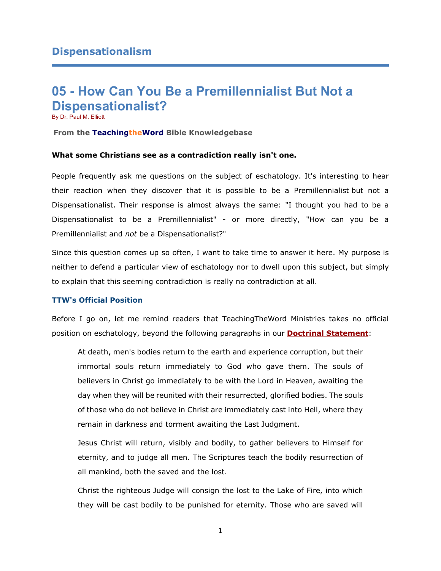# **05 - How Can You Be a Premillennialist But Not a Dispensationalist?**

By Dr. Paul M. Elliott

### **From the TeachingtheWord Bible Knowledgebase**

# **What some Christians see as a contradiction really isn't one.**

People frequently ask me questions on the subject of eschatology. It's interesting to hear their reaction when they discover that it is possible to be a Premillennialist but not a Dispensationalist. Their response is almost always the same: "I thought you had to be a Dispensationalist to be a Premillennialist" - or more directly, "How can you be a Premillennialist and *not* be a Dispensationalist?"

Since this question comes up so often, I want to take time to answer it here. My purpose is neither to defend a particular view of eschatology nor to dwell upon this subject, but simply to explain that this seeming contradiction is really no contradiction at all.

#### **TTW's Official Position**

Before I go on, let me remind readers that TeachingTheWord Ministries takes no official position on eschatology, beyond the following paragraphs in our **[Doctrinal Statement](http://73011.stablerack.com/pages.asp?pageid=87878)**:

At death, men's bodies return to the earth and experience corruption, but their immortal souls return immediately to God who gave them. The souls of believers in Christ go immediately to be with the Lord in Heaven, awaiting the day when they will be reunited with their resurrected, glorified bodies. The souls of those who do not believe in Christ are immediately cast into Hell, where they remain in darkness and torment awaiting the Last Judgment.

Jesus Christ will return, visibly and bodily, to gather believers to Himself for eternity, and to judge all men. The Scriptures teach the bodily resurrection of all mankind, both the saved and the lost.

Christ the righteous Judge will consign the lost to the Lake of Fire, into which they will be cast bodily to be punished for eternity. Those who are saved will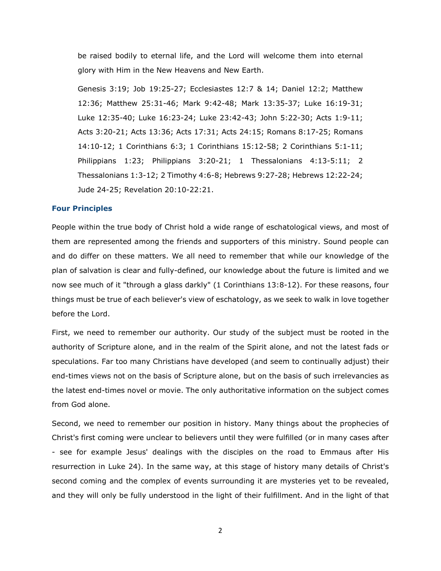be raised bodily to eternal life, and the Lord will welcome them into eternal glory with Him in the New Heavens and New Earth.

Genesis 3:19; Job 19:25-27; Ecclesiastes 12:7 & 14; Daniel 12:2; Matthew 12:36; Matthew 25:31-46; Mark 9:42-48; Mark 13:35-37; Luke 16:19-31; Luke 12:35-40; Luke 16:23-24; Luke 23:42-43; John 5:22-30; Acts 1:9-11; Acts 3:20-21; Acts 13:36; Acts 17:31; Acts 24:15; Romans 8:17-25; Romans 14:10-12; 1 Corinthians 6:3; 1 Corinthians 15:12-58; 2 Corinthians 5:1-11; Philippians 1:23; Philippians 3:20-21; 1 Thessalonians 4:13-5:11; 2 Thessalonians 1:3-12; 2 Timothy 4:6-8; Hebrews 9:27-28; Hebrews 12:22-24; Jude 24-25; Revelation 20:10-22:21.

## **Four Principles**

People within the true body of Christ hold a wide range of eschatological views, and most of them are represented among the friends and supporters of this ministry. Sound people can and do differ on these matters. We all need to remember that while our knowledge of the plan of salvation is clear and fully-defined, our knowledge about the future is limited and we now see much of it "through a glass darkly" (1 Corinthians 13:8-12). For these reasons, four things must be true of each believer's view of eschatology, as we seek to walk in love together before the Lord.

First, we need to remember our authority. Our study of the subject must be rooted in the authority of Scripture alone, and in the realm of the Spirit alone, and not the latest fads or speculations. Far too many Christians have developed (and seem to continually adjust) their end-times views not on the basis of Scripture alone, but on the basis of such irrelevancies as the latest end-times novel or movie. The only authoritative information on the subject comes from God alone.

Second, we need to remember our position in history. Many things about the prophecies of Christ's first coming were unclear to believers until they were fulfilled (or in many cases after - see for example Jesus' dealings with the disciples on the road to Emmaus after His resurrection in Luke 24). In the same way, at this stage of history many details of Christ's second coming and the complex of events surrounding it are mysteries yet to be revealed, and they will only be fully understood in the light of their fulfillment. And in the light of that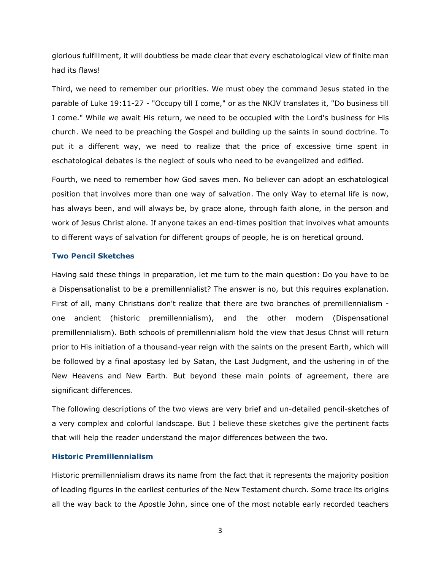glorious fulfillment, it will doubtless be made clear that every eschatological view of finite man had its flaws!

Third, we need to remember our priorities. We must obey the command Jesus stated in the parable of Luke 19:11-27 - "Occupy till I come," or as the NKJV translates it, "Do business till I come." While we await His return, we need to be occupied with the Lord's business for His church. We need to be preaching the Gospel and building up the saints in sound doctrine. To put it a different way, we need to realize that the price of excessive time spent in eschatological debates is the neglect of souls who need to be evangelized and edified.

Fourth, we need to remember how God saves men. No believer can adopt an eschatological position that involves more than one way of salvation. The only Way to eternal life is now, has always been, and will always be, by grace alone, through faith alone, in the person and work of Jesus Christ alone. If anyone takes an end-times position that involves what amounts to different ways of salvation for different groups of people, he is on heretical ground.

# **Two Pencil Sketches**

Having said these things in preparation, let me turn to the main question: Do you have to be a Dispensationalist to be a premillennialist? The answer is no, but this requires explanation. First of all, many Christians don't realize that there are two branches of premillennialism one ancient (historic premillennialism), and the other modern (Dispensational premillennialism). Both schools of premillennialism hold the view that Jesus Christ will return prior to His initiation of a thousand-year reign with the saints on the present Earth, which will be followed by a final apostasy led by Satan, the Last Judgment, and the ushering in of the New Heavens and New Earth. But beyond these main points of agreement, there are significant differences.

The following descriptions of the two views are very brief and un-detailed pencil-sketches of a very complex and colorful landscape. But I believe these sketches give the pertinent facts that will help the reader understand the major differences between the two.

# **Historic Premillennialism**

Historic premillennialism draws its name from the fact that it represents the majority position of leading figures in the earliest centuries of the New Testament church. Some trace its origins all the way back to the Apostle John, since one of the most notable early recorded teachers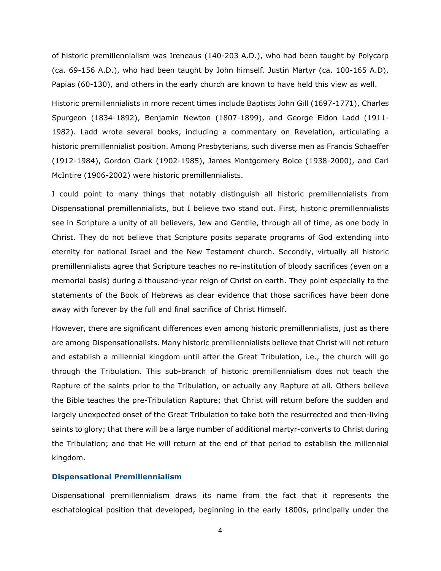of historic premillennialism was Ireneaus (140-203 A.D.), who had been taught by Polycarp (ca. 69-156 A.D.), who had been taught by John himself. Justin Martyr (ca. 100-165 A.D), Papias (60-130), and others in the early church are known to have held this view as well.

Historic premillennialists in more recent times include Baptists John Gill (1697-1771), Charles Spurgeon (1834-1892), Benjamin Newton (1807-1899), and George Eldon Ladd (1911- 1982). Ladd wrote several books, including a commentary on Revelation, articulating a historic premillennialist position. Among Presbyterians, such diverse men as Francis Schaeffer (1912-1984), Gordon Clark (1902-1985), James Montgomery Boice (1938-2000), and Carl McIntire (1906-2002) were historic premillennialists.

I could point to many things that notably distinguish all historic premillennialists from Dispensational premillennialists, but I believe two stand out. First, historic premillennialists see in Scripture a unity of all believers, Jew and Gentile, through all of time, as one body in Christ. They do not believe that Scripture posits separate programs of God extending into eternity for national Israel and the New Testament church. Secondly, virtually all historic premillennialists agree that Scripture teaches no re-institution of bloody sacrifices (even on a memorial basis) during a thousand-year reign of Christ on earth. They point especially to the statements of the Book of Hebrews as clear evidence that those sacrifices have been done away with forever by the full and final sacrifice of Christ Himself.

However, there are significant differences even among historic premillennialists, just as there are among Dispensationalists. Many historic premillennialists believe that Christ will not return and establish a millennial kingdom until after the Great Tribulation, i.e., the church will go through the Tribulation. This sub-branch of historic premillennialism does not teach the Rapture of the saints prior to the Tribulation, or actually any Rapture at all. Others believe the Bible teaches the pre-Tribulation Rapture; that Christ will return before the sudden and largely unexpected onset of the Great Tribulation to take both the resurrected and then-living saints to glory; that there will be a large number of additional martyr-converts to Christ during the Tribulation; and that He will return at the end of that period to establish the millennial kingdom.

# **Dispensational Premillennialism**

Dispensational premillennialism draws its name from the fact that it represents the eschatological position that developed, beginning in the early 1800s, principally under the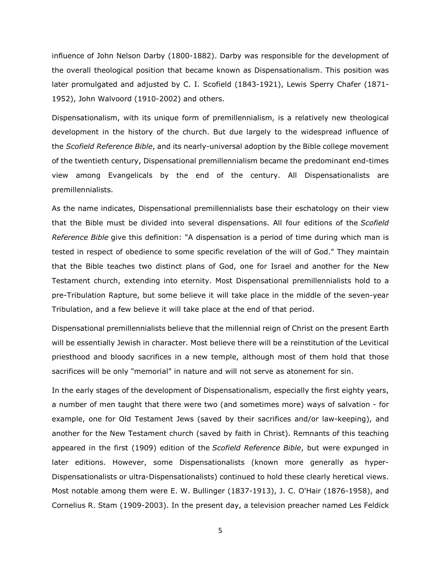influence of John Nelson Darby (1800-1882). Darby was responsible for the development of the overall theological position that became known as Dispensationalism. This position was later promulgated and adjusted by C. I. Scofield (1843-1921), Lewis Sperry Chafer (1871- 1952), John Walvoord (1910-2002) and others.

Dispensationalism, with its unique form of premillennialism, is a relatively new theological development in the history of the church. But due largely to the widespread influence of the *Scofield Reference Bible*, and its nearly-universal adoption by the Bible college movement of the twentieth century, Dispensational premillennialism became the predominant end-times view among Evangelicals by the end of the century. All Dispensationalists are premillennialists.

As the name indicates, Dispensational premillennialists base their eschatology on their view that the Bible must be divided into several dispensations. All four editions of the *Scofield Reference Bible* give this definition: "A dispensation is a period of time during which man is tested in respect of obedience to some specific revelation of the will of God." They maintain that the Bible teaches two distinct plans of God, one for Israel and another for the New Testament church, extending into eternity. Most Dispensational premillennialists hold to a pre-Tribulation Rapture, but some believe it will take place in the middle of the seven-year Tribulation, and a few believe it will take place at the end of that period.

Dispensational premillennialists believe that the millennial reign of Christ on the present Earth will be essentially Jewish in character. Most believe there will be a reinstitution of the Levitical priesthood and bloody sacrifices in a new temple, although most of them hold that those sacrifices will be only "memorial" in nature and will not serve as atonement for sin.

In the early stages of the development of Dispensationalism, especially the first eighty years, a number of men taught that there were two (and sometimes more) ways of salvation - for example, one for Old Testament Jews (saved by their sacrifices and/or law-keeping), and another for the New Testament church (saved by faith in Christ). Remnants of this teaching appeared in the first (1909) edition of the *Scofield Reference Bible*, but were expunged in later editions. However, some Dispensationalists (known more generally as hyper-Dispensationalists or ultra-Dispensationalists) continued to hold these clearly heretical views. Most notable among them were E. W. Bullinger (1837-1913), J. C. O'Hair (1876-1958), and Cornelius R. Stam (1909-2003). In the present day, a television preacher named Les Feldick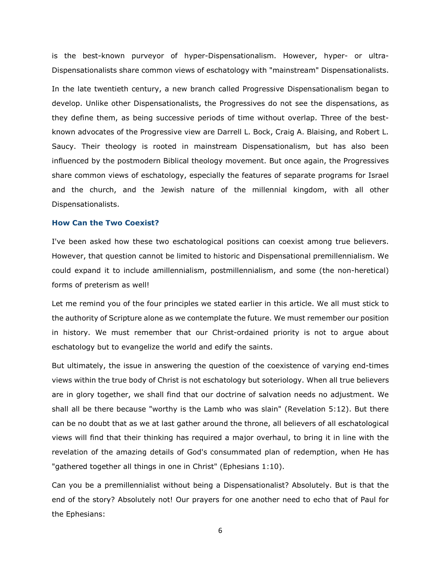is the best-known purveyor of hyper-Dispensationalism. However, hyper- or ultra-Dispensationalists share common views of eschatology with "mainstream" Dispensationalists. In the late twentieth century, a new branch called Progressive Dispensationalism began to develop. Unlike other Dispensationalists, the Progressives do not see the dispensations, as they define them, as being successive periods of time without overlap. Three of the bestknown advocates of the Progressive view are Darrell L. Bock, Craig A. Blaising, and Robert L. Saucy. Their theology is rooted in mainstream Dispensationalism, but has also been influenced by the postmodern Biblical theology movement. But once again, the Progressives share common views of eschatology, especially the features of separate programs for Israel and the church, and the Jewish nature of the millennial kingdom, with all other Dispensationalists.

# **How Can the Two Coexist?**

I've been asked how these two eschatological positions can coexist among true believers. However, that question cannot be limited to historic and Dispensational premillennialism. We could expand it to include amillennialism, postmillennialism, and some (the non-heretical) forms of preterism as well!

Let me remind you of the four principles we stated earlier in this article. We all must stick to the authority of Scripture alone as we contemplate the future. We must remember our position in history. We must remember that our Christ-ordained priority is not to argue about eschatology but to evangelize the world and edify the saints.

But ultimately, the issue in answering the question of the coexistence of varying end-times views within the true body of Christ is not eschatology but soteriology. When all true believers are in glory together, we shall find that our doctrine of salvation needs no adjustment. We shall all be there because "worthy is the Lamb who was slain" (Revelation 5:12). But there can be no doubt that as we at last gather around the throne, all believers of all eschatological views will find that their thinking has required a major overhaul, to bring it in line with the revelation of the amazing details of God's consummated plan of redemption, when He has "gathered together all things in one in Christ" (Ephesians 1:10).

Can you be a premillennialist without being a Dispensationalist? Absolutely. But is that the end of the story? Absolutely not! Our prayers for one another need to echo that of Paul for the Ephesians: